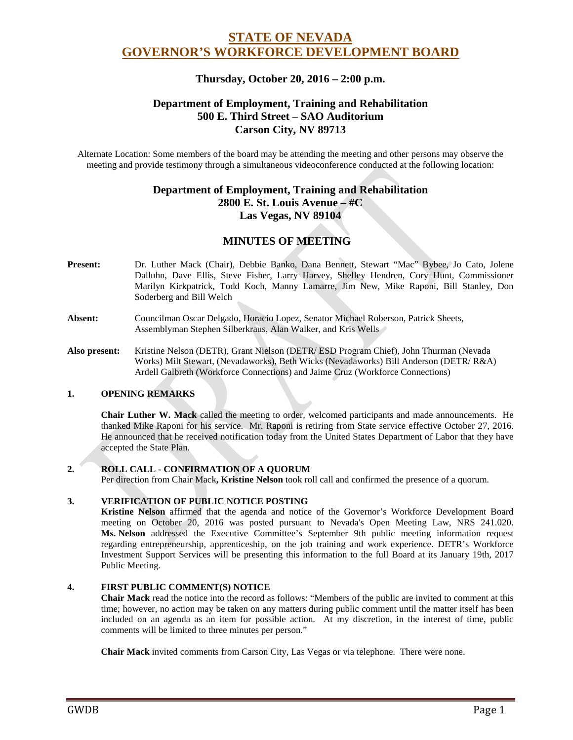# **STATE OF NEVADA GOVERNOR'S WORKFORCE DEVELOPMENT BOARD**

### **Thursday, October 20, 2016 – 2:00 p.m.**

## **Department of Employment, Training and Rehabilitation 500 E. Third Street – SAO Auditorium Carson City, NV 89713**

Alternate Location: Some members of the board may be attending the meeting and other persons may observe the meeting and provide testimony through a simultaneous videoconference conducted at the following location:

## **Department of Employment, Training and Rehabilitation 2800 E. St. Louis Avenue – #C Las Vegas, NV 89104**

# **MINUTES OF MEETING**

- **Present:** Dr. Luther Mack (Chair), Debbie Banko, Dana Bennett, Stewart "Mac" Bybee, Jo Cato, Jolene Dalluhn, Dave Ellis, Steve Fisher, Larry Harvey, Shelley Hendren, Cory Hunt, Commissioner Marilyn Kirkpatrick, Todd Koch, Manny Lamarre, Jim New, Mike Raponi, Bill Stanley, Don Soderberg and Bill Welch
- **Absent:** Councilman Oscar Delgado, Horacio Lopez, Senator Michael Roberson, Patrick Sheets, Assemblyman Stephen Silberkraus, Alan Walker, and Kris Wells
- **Also present:** Kristine Nelson (DETR), Grant Nielson (DETR/ ESD Program Chief), John Thurman (Nevada Works) Milt Stewart, (Nevadaworks), Beth Wicks (Nevadaworks) Bill Anderson (DETR/ R&A) Ardell Galbreth (Workforce Connections) and Jaime Cruz (Workforce Connections)

### **1. OPENING REMARKS**

**Chair Luther W. Mack** called the meeting to order, welcomed participants and made announcements. He thanked Mike Raponi for his service. Mr. Raponi is retiring from State service effective October 27, 2016. He announced that he received notification today from the United States Department of Labor that they have accepted the State Plan.

#### **2. ROLL CALL - CONFIRMATION OF A QUORUM**

Per direction from Chair Mack**, Kristine Nelson** took roll call and confirmed the presence of a quorum.

#### **3. VERIFICATION OF PUBLIC NOTICE POSTING**

**Kristine Nelson** affirmed that the agenda and notice of the Governor's Workforce Development Board meeting on October 20, 2016 was posted pursuant to Nevada's Open Meeting Law, NRS 241.020. **Ms. Nelson** addressed the Executive Committee's September 9th public meeting information request regarding entrepreneurship, apprenticeship, on the job training and work experience. DETR's Workforce Investment Support Services will be presenting this information to the full Board at its January 19th, 2017 Public Meeting.

#### **4. FIRST PUBLIC COMMENT(S) NOTICE**

**Chair Mack** read the notice into the record as follows: "Members of the public are invited to comment at this time; however, no action may be taken on any matters during public comment until the matter itself has been included on an agenda as an item for possible action. At my discretion, in the interest of time, public comments will be limited to three minutes per person."

**Chair Mack** invited comments from Carson City, Las Vegas or via telephone. There were none.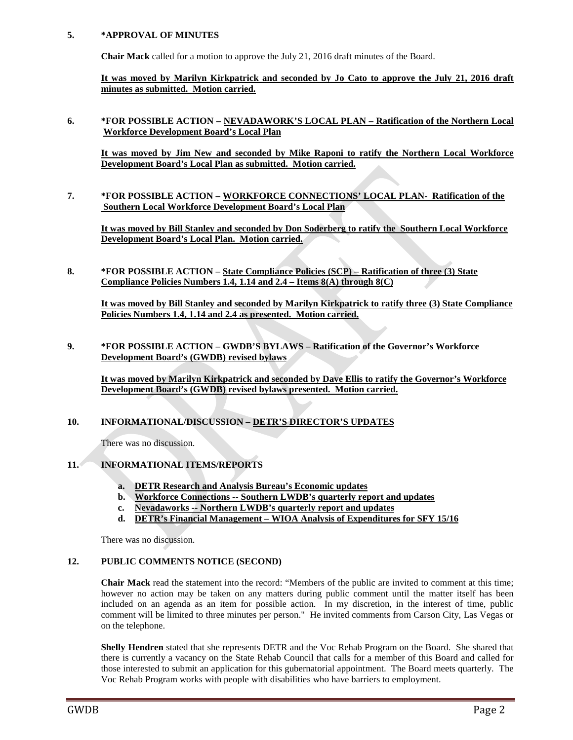#### **5. \*APPROVAL OF MINUTES**

**Chair Mack** called for a motion to approve the July 21, 2016 draft minutes of the Board.

**It was moved by Marilyn Kirkpatrick and seconded by Jo Cato to approve the July 21, 2016 draft minutes as submitted. Motion carried.** 

**6. \*FOR POSSIBLE ACTION – NEVADAWORK'S LOCAL PLAN – Ratification of the Northern Local Workforce Development Board's Local Plan**

**It was moved by Jim New and seconded by Mike Raponi to ratify the Northern Local Workforce Development Board's Local Plan as submitted. Motion carried.** 

**7. \*FOR POSSIBLE ACTION – WORKFORCE CONNECTIONS' LOCAL PLAN- Ratification of the Southern Local Workforce Development Board's Local Plan**

**It was moved by Bill Stanley and seconded by Don Soderberg to ratify the Southern Local Workforce Development Board's Local Plan. Motion carried.** 

**8. \*FOR POSSIBLE ACTION – State Compliance Policies (SCP) – Ratification of three (3) State Compliance Policies Numbers 1.4, 1.14 and 2.4 – Items 8(A) through 8(C)**

**It was moved by Bill Stanley and seconded by Marilyn Kirkpatrick to ratify three (3) State Compliance Policies Numbers 1.4, 1.14 and 2.4 as presented. Motion carried.** 

**9. \*FOR POSSIBLE ACTION – GWDB'S BYLAWS – Ratification of the Governor's Workforce Development Board's (GWDB) revised bylaws**

**It was moved by Marilyn Kirkpatrick and seconded by Dave Ellis to ratify the Governor's Workforce Development Board's (GWDB) revised bylaws presented. Motion carried.** 

#### **10. INFORMATIONAL/DISCUSSION – DETR'S DIRECTOR'S UPDATES**

There was no discussion.

### **11. INFORMATIONAL ITEMS/REPORTS**

- **a. DETR Research and Analysis Bureau's Economic updates**
- **b. Workforce Connections -- Southern LWDB's quarterly report and updates**
- **c. Nevadaworks -- Northern LWDB's quarterly report and updates**
- **d. DETR's Financial Management – WIOA Analysis of Expenditures for SFY 15/16**

There was no discussion.

#### **12. PUBLIC COMMENTS NOTICE (SECOND)**

**Chair Mack** read the statement into the record: "Members of the public are invited to comment at this time; however no action may be taken on any matters during public comment until the matter itself has been included on an agenda as an item for possible action. In my discretion, in the interest of time, public comment will be limited to three minutes per person." He invited comments from Carson City, Las Vegas or on the telephone.

**Shelly Hendren** stated that she represents DETR and the Voc Rehab Program on the Board. She shared that there is currently a vacancy on the State Rehab Council that calls for a member of this Board and called for those interested to submit an application for this gubernatorial appointment. The Board meets quarterly. The Voc Rehab Program works with people with disabilities who have barriers to employment.